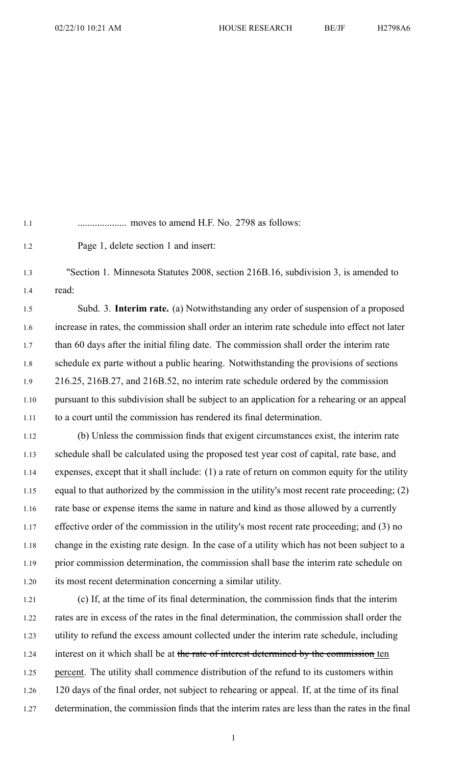1.1 .................... moves to amend H.F. No. 2798 as follows:

1.2 Page 1, delete section 1 and insert:

1.3 "Section 1. Minnesota Statutes 2008, section 216B.16, subdivision 3, is amended to 1.4 read:

1.5 Subd. 3. **Interim rate.** (a) Notwithstanding any order of suspension of <sup>a</sup> proposed 1.6 increase in rates, the commission shall order an interim rate schedule into effect not later 1.7 than 60 days after the initial filing date. The commission shall order the interim rate 1.8 schedule ex parte without <sup>a</sup> public hearing. Notwithstanding the provisions of sections 1.9 216.25, 216B.27, and 216B.52, no interim rate schedule ordered by the commission 1.10 pursuan<sup>t</sup> to this subdivision shall be subject to an application for <sup>a</sup> rehearing or an appeal 1.11 to <sup>a</sup> court until the commission has rendered its final determination.

1.12 (b) Unless the commission finds that exigent circumstances exist, the interim rate 1.13 schedule shall be calculated using the proposed test year cost of capital, rate base, and 1.14 expenses, excep<sup>t</sup> that it shall include: (1) <sup>a</sup> rate of return on common equity for the utility 1.15 equal to that authorized by the commission in the utility's most recent rate proceeding; (2) 1.16 rate base or expense items the same in nature and kind as those allowed by <sup>a</sup> currently 1.17 effective order of the commission in the utility's most recent rate proceeding; and (3) no 1.18 change in the existing rate design. In the case of <sup>a</sup> utility which has not been subject to <sup>a</sup> 1.19 prior commission determination, the commission shall base the interim rate schedule on 1.20 its most recent determination concerning <sup>a</sup> similar utility.

1.21 (c) If, at the time of its final determination, the commission finds that the interim 1.22 rates are in excess of the rates in the final determination, the commission shall order the 1.23 utility to refund the excess amount collected under the interim rate schedule, including 1.24 interest on it which shall be at the rate of interest determined by the commission ten 1.25 percent. The utility shall commence distribution of the refund to its customers within 1.26 120 days of the final order, not subject to rehearing or appeal. If, at the time of its final 1.27 determination, the commission finds that the interim rates are less than the rates in the final

1